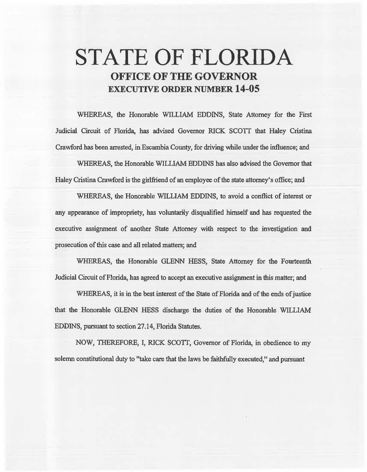# **STATE OF FLORIDA OFFICE OF THE GOVERNOR EXECUTIVE ORDER NUMBER 14-05**

WHEREAS, the Honorable WILLIAM EDDINS, State Attorney for the First Judicial Circuit of Florida, has advised Governor RICK SCOTT that Haley Cristina Crawford has been arrested, in Escambia County, for driving while under the influence; and

WHEREAS, the Honorable WILLIAM BDDINS has also advised the Governor that Haley Cristina Crawford is the girlfriend of an employee of the state attorney's office; and

WHEREAS, the Honorable WILLIAM EDDINS, to avoid a conflict of interest or any appearance of impropriety, has voluntarily disqualified himself and has requested the executive assignment of another State Attorney with respect to the investigation and prosecution of this case and all related matters; and

WHEREAS, the Honorable GLENN HESS, State Attorney for the Fourteenth Judicial Circuit of Florida, has agreed to accept an executive assignment in this matter; and

WHEREAS, it is in the best interest of the State of Florida and of the ends of justice that the Honorable GLENN HESS discharge the duties of the Honorable WILLIAM EDDINS, pursuant to section 27.14, Florida Statutes.

NOW, THEREFORE, I, RICK SCOTT, Governor of Florida, in obedience to my solemn constitutional duty to "take care that the laws be faithfully executed," and pursuant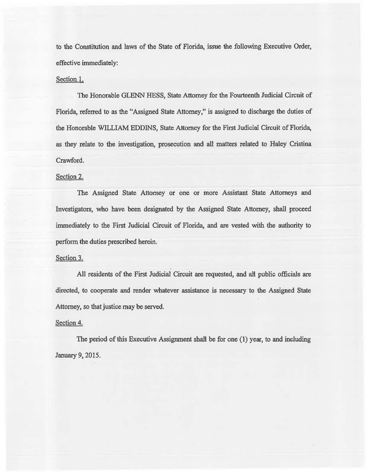to the Constitution and laws of the State of Florida, issue the following Executive Order, effective immediately:

### Section 1.

The Honorable GLENN HESS, State Attorney for the Fourteenth Judicial Circuit of Florida, referred to as the "Assigned State Attorney," is assigned to discharge the duties of the Honorable WILLIAM EDDINS, State Attorney for the First Judicial Circuit of Florida, as they relate to the investigation, prosecution and all matters related to Haley Cristina Crawford.

#### Section 2.

The Assigned State Attorney or one or more Assistant State Attorneys and Investigators, who have been designated by the Assigned State Attorney, shall proceed immediately to the First Judicial Circuit of Florida, and are vested with the authority to perform the duties prescribed herein.

#### Section 3.

. All residents of the First Judicial Circuit are requested, and all public officials are directed, to cooperate and render whatever assistance is necessary to the Assigned State Attorney, so that justice may be served.

#### Section 4.

The period of this Executive Assignment shall be for one (1) year, to and including January 9, 2015.